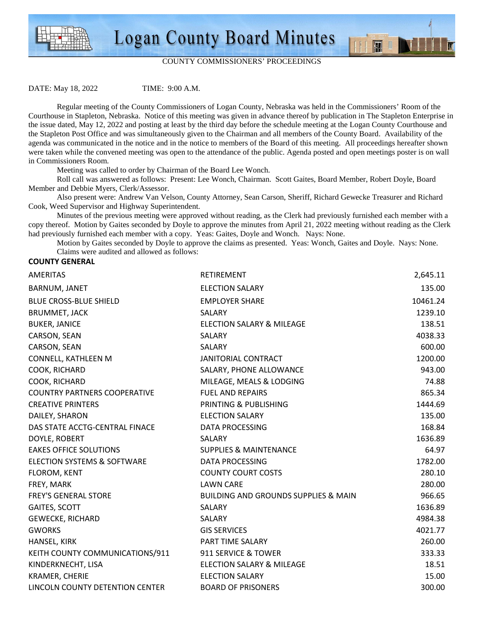



图 1

DATE: May 18, 2022 TIME: 9:00 A.M.

Regular meeting of the County Commissioners of Logan County, Nebraska was held in the Commissioners' Room of the

Courthouse in Stapleton, Nebraska. Notice of this meeting was given in advance thereof by publication in The Stapleton Enterprise in the issue dated, May 12, 2022 and posting at least by the third day before the schedule meeting at the Logan County Courthouse and the Stapleton Post Office and was simultaneously given to the Chairman and all members of the County Board. Availability of the agenda was communicated in the notice and in the notice to members of the Board of this meeting. All proceedings hereafter shown were taken while the convened meeting was open to the attendance of the public. Agenda posted and open meetings poster is on wall in Commissioners Room.

Meeting was called to order by Chairman of the Board Lee Wonch.

 Roll call was answered as follows: Present: Lee Wonch, Chairman. Scott Gaites, Board Member, Robert Doyle, Board Member and Debbie Myers, Clerk/Assessor.

 Also present were: Andrew Van Velson, County Attorney, Sean Carson, Sheriff, Richard Gewecke Treasurer and Richard Cook, Weed Supervisor and Highway Superintendent.

 Minutes of the previous meeting were approved without reading, as the Clerk had previously furnished each member with a copy thereof. Motion by Gaites seconded by Doyle to approve the minutes from April 21, 2022 meeting without reading as the Clerk had previously furnished each member with a copy. Yeas: Gaites, Doyle and Wonch. Nays: None.

 Motion by Gaites seconded by Doyle to approve the claims as presented. Yeas: Wonch, Gaites and Doyle. Nays: None. Claims were audited and allowed as follows:

## **COUNTY GENERAL**

| <b>AMERITAS</b>                        | RETIREMENT                                      | 2,645.11 |
|----------------------------------------|-------------------------------------------------|----------|
| BARNUM, JANET                          | <b>ELECTION SALARY</b>                          | 135.00   |
| <b>BLUE CROSS-BLUE SHIELD</b>          | <b>EMPLOYER SHARE</b>                           | 10461.24 |
| <b>BRUMMET, JACK</b>                   | SALARY                                          | 1239.10  |
| <b>BUKER, JANICE</b>                   | <b>ELECTION SALARY &amp; MILEAGE</b>            | 138.51   |
| CARSON, SEAN                           | SALARY                                          | 4038.33  |
| CARSON, SEAN                           | SALARY                                          | 600.00   |
| CONNELL, KATHLEEN M                    | <b>JANITORIAL CONTRACT</b>                      | 1200.00  |
| COOK, RICHARD                          | SALARY, PHONE ALLOWANCE                         | 943.00   |
| COOK, RICHARD                          | MILEAGE, MEALS & LODGING                        | 74.88    |
| <b>COUNTRY PARTNERS COOPERATIVE</b>    | FUEL AND REPAIRS                                | 865.34   |
| <b>CREATIVE PRINTERS</b>               | PRINTING & PUBLISHING                           | 1444.69  |
| DAILEY, SHARON                         | <b>ELECTION SALARY</b>                          | 135.00   |
| DAS STATE ACCTG-CENTRAL FINACE         | <b>DATA PROCESSING</b>                          | 168.84   |
| DOYLE, ROBERT                          | SALARY                                          | 1636.89  |
| <b>EAKES OFFICE SOLUTIONS</b>          | <b>SUPPLIES &amp; MAINTENANCE</b>               | 64.97    |
| <b>ELECTION SYSTEMS &amp; SOFTWARE</b> | DATA PROCESSING                                 | 1782.00  |
| FLOROM, KENT                           | <b>COUNTY COURT COSTS</b>                       | 280.10   |
| FREY, MARK                             | <b>LAWN CARE</b>                                | 280.00   |
| <b>FREY'S GENERAL STORE</b>            | <b>BUILDING AND GROUNDS SUPPLIES &amp; MAIN</b> | 966.65   |
| GAITES, SCOTT                          | <b>SALARY</b>                                   | 1636.89  |
| <b>GEWECKE, RICHARD</b>                | SALARY                                          | 4984.38  |
| <b>GWORKS</b>                          | <b>GIS SERVICES</b>                             | 4021.77  |
| HANSEL, KIRK                           | PART TIME SALARY                                | 260.00   |
| KEITH COUNTY COMMUNICATIONS/911        | 911 SERVICE & TOWER                             | 333.33   |
| KINDERKNECHT, LISA                     | ELECTION SALARY & MILEAGE                       | 18.51    |
| <b>KRAMER, CHERIE</b>                  | <b>ELECTION SALARY</b>                          | 15.00    |
| LINCOLN COUNTY DETENTION CENTER        | <b>BOARD OF PRISONERS</b>                       | 300.00   |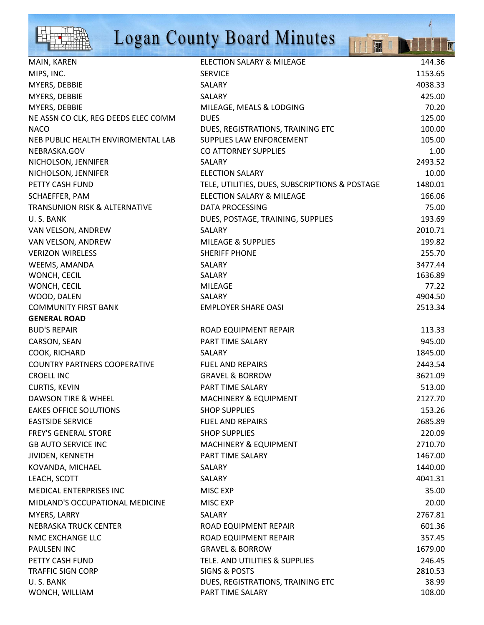

## Logan County Board Minutes

|                                          | <b>Logan County Board Minutes</b><br>$\mathbb{R}^n$<br>H |         |
|------------------------------------------|----------------------------------------------------------|---------|
| MAIN, KAREN                              | <b>ELECTION SALARY &amp; MILEAGE</b>                     | 144.36  |
| MIPS, INC.                               | <b>SERVICE</b>                                           | 1153.65 |
| MYERS, DEBBIE                            | SALARY                                                   | 4038.33 |
| MYERS, DEBBIE                            | SALARY                                                   | 425.00  |
| MYERS, DEBBIE                            | MILEAGE, MEALS & LODGING                                 | 70.20   |
| NE ASSN CO CLK, REG DEEDS ELEC COMM      | <b>DUES</b>                                              | 125.00  |
| <b>NACO</b>                              | DUES, REGISTRATIONS, TRAINING ETC                        | 100.00  |
| NEB PUBLIC HEALTH ENVIROMENTAL LAB       | SUPPLIES LAW ENFORCEMENT                                 | 105.00  |
| NEBRASKA.GOV                             | CO ATTORNEY SUPPLIES                                     | 1.00    |
| NICHOLSON, JENNIFER                      | <b>SALARY</b>                                            | 2493.52 |
| NICHOLSON, JENNIFER                      | <b>ELECTION SALARY</b>                                   | 10.00   |
| PETTY CASH FUND                          | TELE, UTILITIES, DUES, SUBSCRIPTIONS & POSTAGE           | 1480.01 |
| SCHAEFFER, PAM                           | <b>ELECTION SALARY &amp; MILEAGE</b>                     | 166.06  |
| <b>TRANSUNION RISK &amp; ALTERNATIVE</b> | <b>DATA PROCESSING</b>                                   | 75.00   |
| U.S. BANK                                | DUES, POSTAGE, TRAINING, SUPPLIES                        | 193.69  |
| VAN VELSON, ANDREW                       | <b>SALARY</b>                                            | 2010.71 |
| VAN VELSON, ANDREW                       | <b>MILEAGE &amp; SUPPLIES</b>                            | 199.82  |
| <b>VERIZON WIRELESS</b>                  | <b>SHERIFF PHONE</b>                                     | 255.70  |
| WEEMS, AMANDA                            | SALARY                                                   | 3477.44 |
| WONCH, CECIL                             | SALARY                                                   | 1636.89 |
| WONCH, CECIL                             | <b>MILEAGE</b>                                           | 77.22   |
| WOOD, DALEN                              | SALARY                                                   | 4904.50 |
| <b>COMMUNITY FIRST BANK</b>              | <b>EMPLOYER SHARE OASI</b>                               | 2513.34 |
| <b>GENERAL ROAD</b>                      |                                                          |         |
| <b>BUD'S REPAIR</b>                      | ROAD EQUIPMENT REPAIR                                    | 113.33  |
| CARSON, SEAN                             | PART TIME SALARY                                         | 945.00  |
| COOK, RICHARD                            | <b>SALARY</b>                                            | 1845.00 |
| <b>COUNTRY PARTNERS COOPERATIVE</b>      | <b>FUEL AND REPAIRS</b>                                  | 2443.54 |
| <b>CROELL INC</b>                        | <b>GRAVEL &amp; BORROW</b>                               | 3621.09 |
| <b>CURTIS, KEVIN</b>                     | PART TIME SALARY                                         | 513.00  |
| DAWSON TIRE & WHEEL                      | <b>MACHINERY &amp; EQUIPMENT</b>                         | 2127.70 |
| <b>EAKES OFFICE SOLUTIONS</b>            | <b>SHOP SUPPLIES</b>                                     | 153.26  |
| <b>EASTSIDE SERVICE</b>                  | <b>FUEL AND REPAIRS</b>                                  | 2685.89 |
| <b>FREY'S GENERAL STORE</b>              | <b>SHOP SUPPLIES</b>                                     | 220.09  |
| <b>GB AUTO SERVICE INC</b>               | <b>MACHINERY &amp; EQUIPMENT</b>                         | 2710.70 |
| JIVIDEN, KENNETH                         | PART TIME SALARY                                         | 1467.00 |
| KOVANDA, MICHAEL                         | <b>SALARY</b>                                            | 1440.00 |
| LEACH, SCOTT                             | SALARY                                                   | 4041.31 |
| MEDICAL ENTERPRISES INC                  | MISC EXP                                                 | 35.00   |
| MIDLAND'S OCCUPATIONAL MEDICINE          | MISC EXP                                                 | 20.00   |
| MYERS, LARRY                             | <b>SALARY</b>                                            | 2767.81 |
| NEBRASKA TRUCK CENTER                    | ROAD EQUIPMENT REPAIR                                    | 601.36  |
| NMC EXCHANGE LLC                         | ROAD EQUIPMENT REPAIR                                    | 357.45  |
| PAULSEN INC                              | <b>GRAVEL &amp; BORROW</b>                               | 1679.00 |
| PETTY CASH FUND                          | TELE. AND UTILITIES & SUPPLIES                           | 246.45  |
| <b>TRAFFIC SIGN CORP</b>                 | <b>SIGNS &amp; POSTS</b>                                 | 2810.53 |
| U.S. BANK                                | DUES, REGISTRATIONS, TRAINING ETC                        | 38.99   |
| WONCH, WILLIAM                           | PART TIME SALARY                                         | 108.00  |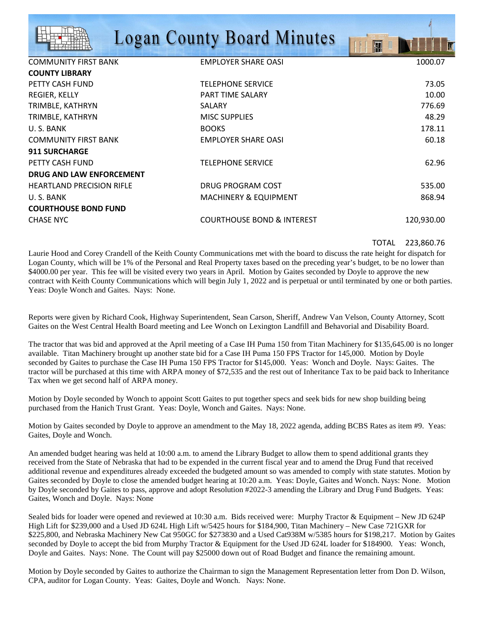|                                  | <b>Logan County Board Minutes</b>     | H          |
|----------------------------------|---------------------------------------|------------|
| <b>COMMUNITY FIRST BANK</b>      | <b>EMPLOYER SHARE OASI</b>            | 1000.07    |
| <b>COUNTY LIBRARY</b>            |                                       |            |
| PETTY CASH FUND                  | <b>TELEPHONE SERVICE</b>              | 73.05      |
| REGIER, KELLY                    | <b>PART TIME SALARY</b>               | 10.00      |
| TRIMBLE, KATHRYN                 | SALARY                                | 776.69     |
| TRIMBLE, KATHRYN                 | <b>MISC SUPPLIES</b>                  | 48.29      |
| U.S. BANK                        | <b>BOOKS</b>                          | 178.11     |
| <b>COMMUNITY FIRST BANK</b>      | <b>EMPLOYER SHARE OASI</b>            | 60.18      |
| <b>911 SURCHARGE</b>             |                                       |            |
| PETTY CASH FUND                  | <b>TELEPHONE SERVICE</b>              | 62.96      |
| <b>DRUG AND LAW ENFORCEMENT</b>  |                                       |            |
| <b>HEARTLAND PRECISION RIFLE</b> | DRUG PROGRAM COST                     | 535.00     |
| U.S. BANK                        | <b>MACHINERY &amp; EQUIPMENT</b>      | 868.94     |
| <b>COURTHOUSE BOND FUND</b>      |                                       |            |
| <b>CHASE NYC</b>                 | <b>COURTHOUSE BOND &amp; INTEREST</b> | 120,930.00 |

## TOTAL 223,860.76

Laurie Hood and Corey Crandell of the Keith County Communications met with the board to discuss the rate height for dispatch for Logan County, which will be 1% of the Personal and Real Property taxes based on the preceding year's budget, to be no lower than \$4000.00 per year. This fee will be visited every two years in April. Motion by Gaites seconded by Doyle to approve the new contract with Keith County Communications which will begin July 1, 2022 and is perpetual or until terminated by one or both parties. Yeas: Doyle Wonch and Gaites. Nays: None.

Reports were given by Richard Cook, Highway Superintendent, Sean Carson, Sheriff, Andrew Van Velson, County Attorney, Scott Gaites on the West Central Health Board meeting and Lee Wonch on Lexington Landfill and Behavorial and Disability Board.

The tractor that was bid and approved at the April meeting of a Case IH Puma 150 from Titan Machinery for \$135,645.00 is no longer available. Titan Machinery brought up another state bid for a Case IH Puma 150 FPS Tractor for 145,000. Motion by Doyle seconded by Gaites to purchase the Case IH Puma 150 FPS Tractor for \$145,000. Yeas: Wonch and Doyle. Nays: Gaites. The tractor will be purchased at this time with ARPA money of \$72,535 and the rest out of Inheritance Tax to be paid back to Inheritance Tax when we get second half of ARPA money.

Motion by Doyle seconded by Wonch to appoint Scott Gaites to put together specs and seek bids for new shop building being purchased from the Hanich Trust Grant. Yeas: Doyle, Wonch and Gaites. Nays: None.

Motion by Gaites seconded by Doyle to approve an amendment to the May 18, 2022 agenda, adding BCBS Rates as item #9. Yeas: Gaites, Doyle and Wonch.

An amended budget hearing was held at 10:00 a.m. to amend the Library Budget to allow them to spend additional grants they received from the State of Nebraska that had to be expended in the current fiscal year and to amend the Drug Fund that received additional revenue and expenditures already exceeded the budgeted amount so was amended to comply with state statutes. Motion by Gaites seconded by Doyle to close the amended budget hearing at 10:20 a.m. Yeas: Doyle, Gaites and Wonch. Nays: None. Motion by Doyle seconded by Gaites to pass, approve and adopt Resolution #2022-3 amending the Library and Drug Fund Budgets. Yeas: Gaites, Wonch and Doyle. Nays: None

Sealed bids for loader were opened and reviewed at 10:30 a.m. Bids received were: Murphy Tractor & Equipment – New JD 624P High Lift for \$239,000 and a Used JD 624L High Lift w/5425 hours for \$184,900, Titan Machinery – New Case 721GXR for \$225,800, and Nebraska Machinery New Cat 950GC for \$273830 and a Used Cat938M w/5385 hours for \$198,217. Motion by Gaites seconded by Doyle to accept the bid from Murphy Tractor & Equipment for the Used JD 624L loader for \$184900. Yeas: Wonch, Doyle and Gaites. Nays: None. The Count will pay \$25000 down out of Road Budget and finance the remaining amount.

Motion by Doyle seconded by Gaites to authorize the Chairman to sign the Management Representation letter from Don D. Wilson, CPA, auditor for Logan County. Yeas: Gaites, Doyle and Wonch. Nays: None.